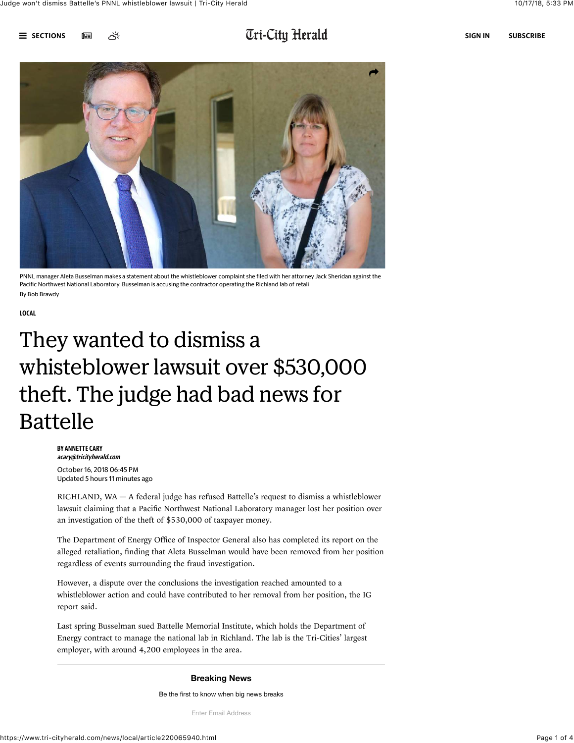

## $\overline{\mathbf{U}}$  and  $\overline{\mathbf{U}}$  and  $\overline{\mathbf{U}}$  is the substant  $\overline{\mathbf{U}}$  and  $\overline{\mathbf{U}}$  if  $i$  -  $\overline{\mathbf{U}}$  if  $i$  -  $\overline{\mathbf{U}}$  if  $i$  -  $\overline{\mathbf{U}}$  if  $i$  -  $\overline{\mathbf{U}}$  if  $i$  -  $\overline{\mathbf{U}}$  if  $i$  -  $\overline{\mathbf{U}}$  if  $i$



PNNL manager Aleta Busselman makes a statement about the whistleblower complaint she filed with her attorney Jack Sheridan against the Pacific Northwest National Laboratory. Busselman is accusing the contractor operating the Richland lab of retali By Bob Brawdy

[LOCAL](https://www.tri-cityherald.com/news/local/)

# They wanted to dismiss a whisteblower lawsuit over \$530,000 theft. The judge had bad news for Battelle

BY ANNETTE CARY [acary@tricityherald.com](mailto:acary@tricityherald.com) October 16, 2018 06:45 PM Updated 5 hours 11 minutes ago

RICHLAND, WA — A federal judge has refused Battelle's request to dismiss a whistleblower lawsuit claiming that a Pacific Northwest National Laboratory manager lost her position over an investigation of the theft of \$530,000 of taxpayer money.

The Department of Energy Office of Inspector General also has completed its report on the alleged retaliation, finding that Aleta Busselman would have been removed from her position regardless of events surrounding the fraud investigation.

However, a dispute over the conclusions the investigation reached amounted to a whistleblower action and could have contributed to her removal from her position, the IG report said.

Last spring Busselman [sued Battelle Memorial Institute](https://www.tri-cityherald.com/news/local/pacific-northwest-national-lab/article209770139.html), which holds the Department of Energy contract to manage the national lab in Richland. The lab is the Tri-Cities' largest employer, with around 4,200 employees in the area.

### **Breaking News**

Be the first to know when big news breaks

Enter Email Address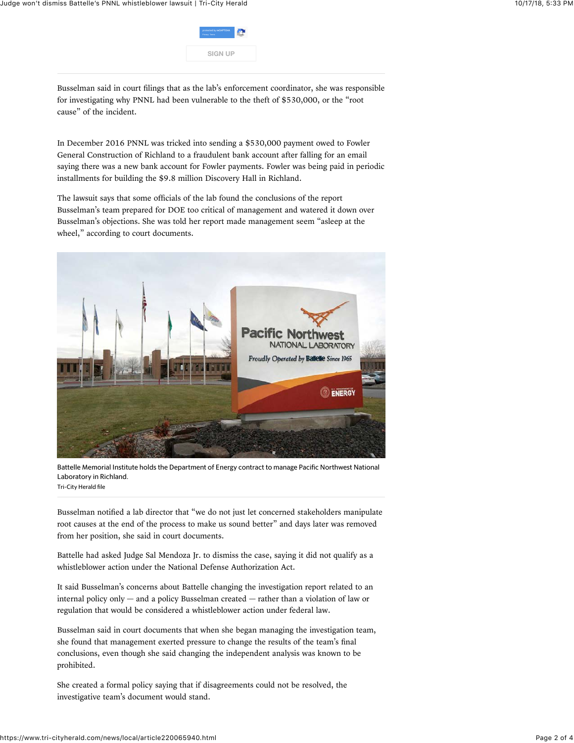

Busselman said in court filings that as the lab's enforcement coordinator, she was responsible for investigating why PNNL had been vulnerable to the theft of \$530,000, or the "root cause" of the incident.

In December 2016 PNNL was tricked into sending a \$530,000 payment owed to Fowler General Construction of Richland to a fraudulent bank account after falling for an email saying there was a new bank account for Fowler payments. Fowler was being paid in periodic installments for building the \$9.8 million Discovery Hall in Richland.

The lawsuit says that some officials of the lab found the conclusions of the report Busselman's team prepared for DOE too critical of management and watered it down over Busselman's objections. She was told her report made management seem "asleep at the wheel," according to court documents.



Battelle Memorial Institute holds the Department of Energy contract to manage Pacific Northwest National Laboratory in Richland. Tri-City Herald file

Busselman notified a lab director that "we do not just let concerned stakeholders manipulate root causes at the end of the process to make us sound better" and days later was removed from her position, she said in court documents.

Battelle had asked Judge Sal Mendoza Jr. to dismiss the case, saying it did not qualify as a whistleblower action under the National Defense Authorization Act.

It said Busselman's concerns about Battelle changing the investigation report related to an internal policy only  $-$  and a policy Busselman created  $-$  rather than a violation of law or regulation that would be considered a whistleblower action under federal law.

Busselman said in court documents that when she began managing the investigation team, she found that management exerted pressure to change the results of the team's final conclusions, even though she said changing the independent analysis was known to be prohibited.

She created a formal policy saying that if disagreements could not be resolved, the investigative team's document would stand.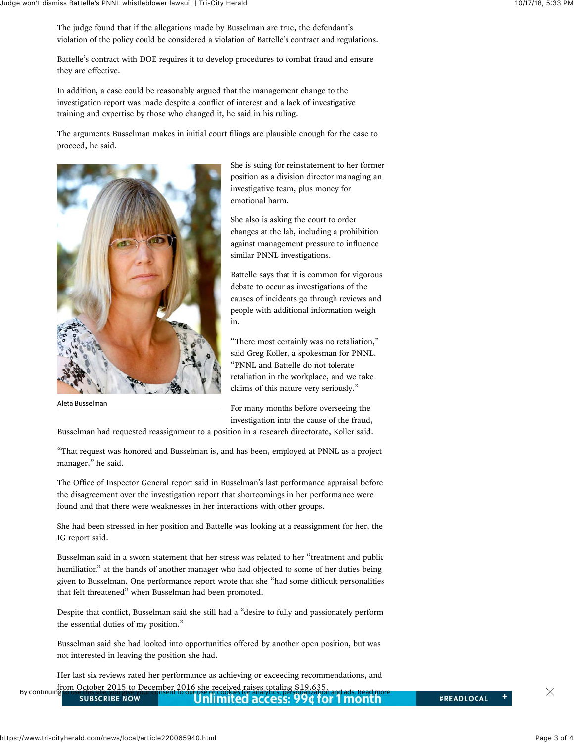The judge found that if the allegations made by Busselman are true, the defendant's violation of the policy could be considered a violation of Battelle's contract and regulations.

Battelle's contract with DOE requires it to develop procedures to combat fraud and ensure they are effective.

In addition, a case could be reasonably argued that the management change to the investigation report was made despite a conflict of interest and a lack of investigative training and expertise by those who changed it, he said in his ruling.

The arguments Busselman makes in initial court filings are plausible enough for the case to proceed, he said.



Aleta Busselman

She is suing for reinstatement to her former position as a division director managing an investigative team, plus money for emotional harm.

She also is asking the court to order changes at the lab, including a prohibition against management pressure to influence similar PNNL investigations.

Battelle says that it is common for vigorous debate to occur as investigations of the causes of incidents go through reviews and people with additional information weigh in.

"There most certainly was no retaliation," said Greg Koller, a spokesman for PNNL. "PNNL and Battelle do not tolerate retaliation in the workplace, and we take claims of this nature very seriously."

For many months before overseeing the investigation into the cause of the fraud,

Busselman had requested reassignment to a position in a research directorate, Koller said.

"That request was honored and Busselman is, and has been, employed at PNNL as a project manager," he said.

The Office of Inspector General report said in Busselman's last performance appraisal before the disagreement over the investigation report that shortcomings in her performance were found and that there were weaknesses in her interactions with other groups.

She had been stressed in her position and Battelle was looking at a reassignment for her, the IG report said.

Busselman said in a sworn statement that her stress was related to her "treatment and public humiliation" at the hands of another manager who had objected to some of her duties being given to Busselman. One performance report wrote that she "had some difficult personalities that felt threatened" when Busselman had been promoted.

Despite that conflict, Busselman said she still had a "desire to fully and passionately perform the essential duties of my position."

Busselman said she had looked into opportunities offered by another open position, but was not interested in leaving the position she had.

Her last six reviews rated her performance as achieving or exceeding recommendations, and from October 2015 to December 2016 she received raises totaling \$19,635.

| By continuing<br><b>SUBSCRIBE NOW \</b> | <b>the our use of cookies for analytics, personalization and ads. <u>Read more</u><br/>Unlimited access: 99¢ for 1 month</b> | <b>#READLOCAL</b> |  |
|-----------------------------------------|------------------------------------------------------------------------------------------------------------------------------|-------------------|--|
|                                         |                                                                                                                              |                   |  |